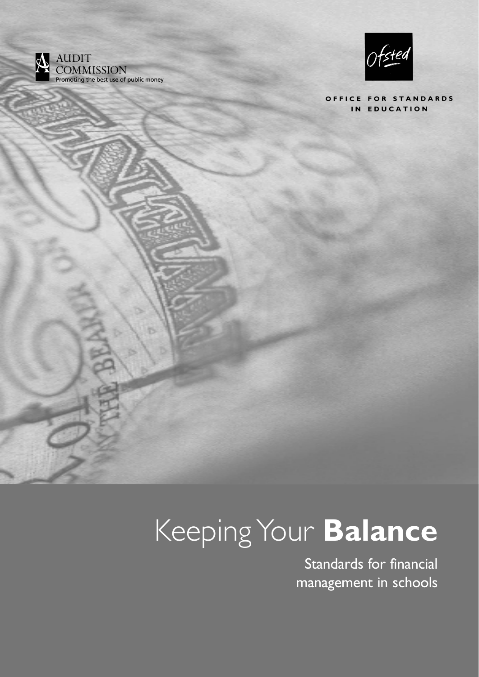



OFFICE FOR STANDARDS IN EDUCATION

# Keeping Your **Balance**

Standards for financial management in schools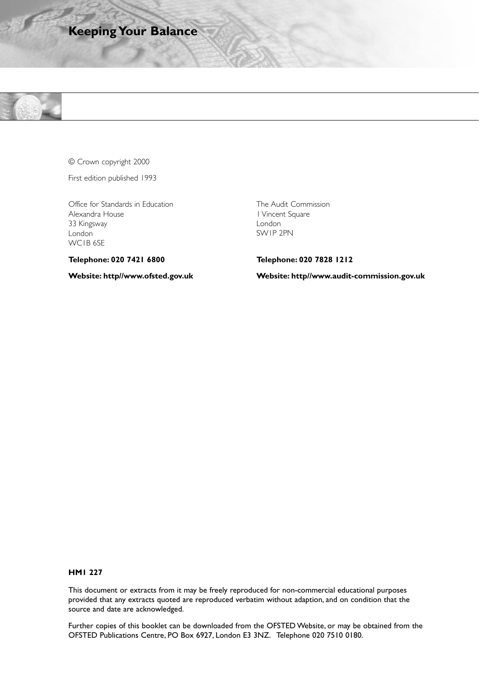

© Crown copyright 2000

First edition published 1993

Office for Standards in Education Alexandra House 33 Kingsway London WC1B 6SE

**Telephone: 020 7421 6800**

**Website: http//www.ofsted.gov.uk**

The Audit Commission 1 Vincent Square London SW1P 2PN

**Telephone: 020 7828 1212**

**Website: http//www.audit-commission.gov.uk**

#### **HM1 227**

This document or extracts from it may be freely reproduced for non-commercial educational purposes provided that any extracts quoted are reproduced verbatim without adaption, and on condition that the source and date are acknowledged.

Further copies of this booklet can be downloaded from the OFSTED Website, or may be obtained from the OFSTED Publications Centre, PO Box 6927, London E3 3NZ. Telephone 020 7510 0180.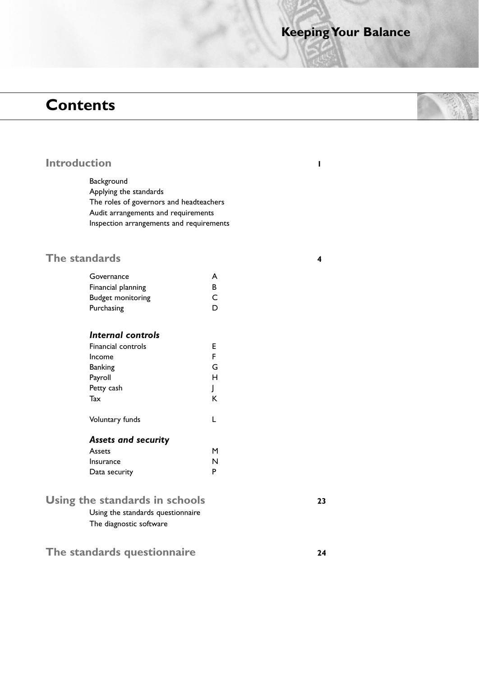## **Contents**



#### **Introduction 1**

Background Applying the standards The roles of governors and headteachers Audit arrangements and requirements Inspection arrangements and requirements

### **The standards 4**

| Governance                        | A |    |
|-----------------------------------|---|----|
| Financial planning                | B |    |
| <b>Budget monitoring</b>          | C |    |
| Purchasing                        | D |    |
| Internal controls                 |   |    |
| Financial controls                | E |    |
| Income                            | F |    |
| <b>Banking</b>                    | G |    |
| Payroll                           | н |    |
| Petty cash                        | J |    |
| Tax                               | К |    |
| Voluntary funds                   | L |    |
| <b>Assets and security</b>        |   |    |
| <b>Assets</b>                     | M |    |
| Insurance                         | N |    |
| Data security                     | P |    |
| Using the standards in schools    |   | 23 |
| Using the standards questionnaire |   |    |
|                                   |   |    |
| The diagnostic software           |   |    |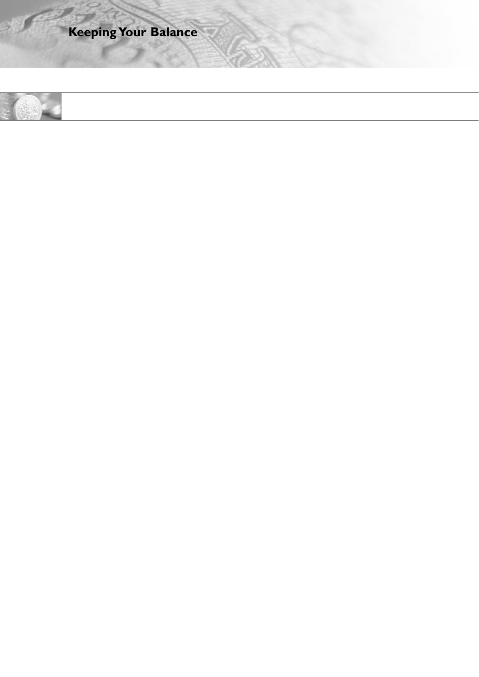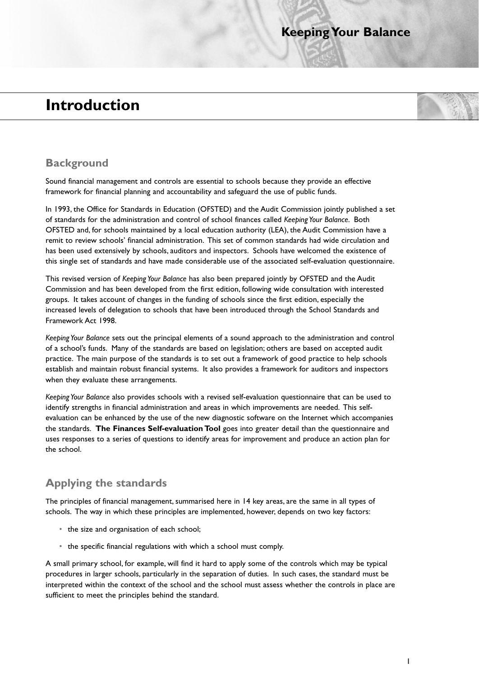## **Introduction**



#### **Background**

Sound financial management and controls are essential to schools because they provide an effective framework for financial planning and accountability and safeguard the use of public funds.

In 1993, the Office for Standards in Education (OFSTED) and the Audit Commission jointly published a set of standards for the administration and control of school finances called *Keeping Your Balance*. Both OFSTED and, for schools maintained by a local education authority (LEA), the Audit Commission have a remit to review schools' financial administration. This set of common standards had wide circulation and has been used extensively by schools, auditors and inspectors. Schools have welcomed the existence of this single set of standards and have made considerable use of the associated self-evaluation questionnaire.

This revised version of *Keeping Your Balance* has also been prepared jointly by OFSTED and the Audit Commission and has been developed from the first edition, following wide consultation with interested groups. It takes account of changes in the funding of schools since the first edition, especially the increased levels of delegation to schools that have been introduced through the School Standards and Framework Act 1998.

*Keeping Your Balance* sets out the principal elements of a sound approach to the administration and control of a school's funds. Many of the standards are based on legislation; others are based on accepted audit practice. The main purpose of the standards is to set out a framework of good practice to help schools establish and maintain robust financial systems. It also provides a framework for auditors and inspectors when they evaluate these arrangements.

*Keeping Your Balance* also provides schools with a revised self-evaluation questionnaire that can be used to identify strengths in financial administration and areas in which improvements are needed. This selfevaluation can be enhanced by the use of the new diagnostic software on the Internet which accompanies the standards. **The Finances Self-evaluation Tool** goes into greater detail than the questionnaire and uses responses to a series of questions to identify areas for improvement and produce an action plan for the school.

### **Applying the standards**

The principles of financial management, summarised here in 14 key areas, are the same in all types of schools. The way in which these principles are implemented, however, depends on two key factors:

- the size and organisation of each school;
- the specific financial regulations with which a school must comply.

A small primary school, for example, will find it hard to apply some of the controls which may be typical procedures in larger schools, particularly in the separation of duties. In such cases, the standard must be interpreted within the context of the school and the school must assess whether the controls in place are sufficient to meet the principles behind the standard.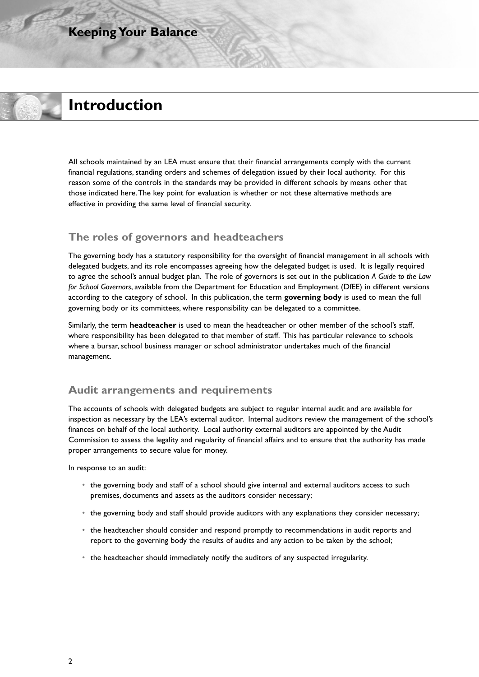

## **Introduction**

All schools maintained by an LEA must ensure that their financial arrangements comply with the current financial regulations, standing orders and schemes of delegation issued by their local authority. For this reason some of the controls in the standards may be provided in different schools by means other that those indicated here.The key point for evaluation is whether or not these alternative methods are effective in providing the same level of financial security.

#### **The roles of governors and headteachers**

The governing body has a statutory responsibility for the oversight of financial management in all schools with delegated budgets, and its role encompasses agreeing how the delegated budget is used. It is legally required to agree the school's annual budget plan. The role of governors is set out in the publication *A Guide to the Law for School Governors*, available from the Department for Education and Employment (DfEE) in different versions according to the category of school. In this publication, the term **governing body** is used to mean the full governing body or its committees, where responsibility can be delegated to a committee.

Similarly, the term **headteacher** is used to mean the headteacher or other member of the school's staff, where responsibility has been delegated to that member of staff. This has particular relevance to schools where a bursar, school business manager or school administrator undertakes much of the financial management.

#### **Audit arrangements and requirements**

The accounts of schools with delegated budgets are subject to regular internal audit and are available for inspection as necessary by the LEA's external auditor. Internal auditors review the management of the school's finances on behalf of the local authority. Local authority external auditors are appointed by the Audit Commission to assess the legality and regularity of financial affairs and to ensure that the authority has made proper arrangements to secure value for money.

In response to an audit:

- the governing body and staff of a school should give internal and external auditors access to such premises, documents and assets as the auditors consider necessary;
- the governing body and staff should provide auditors with any explanations they consider necessary;
- the headteacher should consider and respond promptly to recommendations in audit reports and report to the governing body the results of audits and any action to be taken by the school;
- the headteacher should immediately notify the auditors of any suspected irregularity.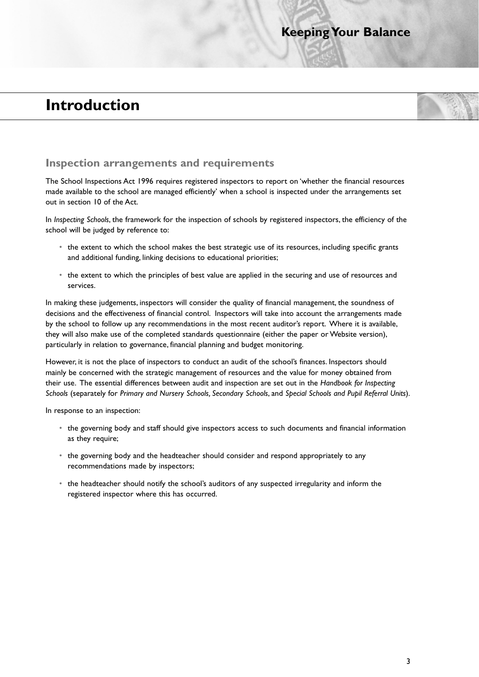## **Introduction**



#### **Inspection arrangements and requirements**

The School Inspections Act 1996 requires registered inspectors to report on 'whether the financial resources made available to the school are managed efficiently' when a school is inspected under the arrangements set out in section 10 of the Act.

In *Inspecting Schools*, the framework for the inspection of schools by registered inspectors, the efficiency of the school will be judged by reference to:

- the extent to which the school makes the best strategic use of its resources, including specific grants and additional funding, linking decisions to educational priorities;
- the extent to which the principles of best value are applied in the securing and use of resources and services.

In making these judgements, inspectors will consider the quality of financial management, the soundness of decisions and the effectiveness of financial control. Inspectors will take into account the arrangements made by the school to follow up any recommendations in the most recent auditor's report. Where it is available, they will also make use of the completed standards questionnaire (either the paper or Website version), particularly in relation to governance, financial planning and budget monitoring.

However, it is not the place of inspectors to conduct an audit of the school's finances. Inspectors should mainly be concerned with the strategic management of resources and the value for money obtained from their use. The essential differences between audit and inspection are set out in the *Handbook for Inspecting Schools* (separately for *Primary and Nursery Schools, Secondary Schools*, and *Special Schools and Pupil Referral Units*).

In response to an inspection:

- the governing body and staff should give inspectors access to such documents and financial information as they require;
- the governing body and the headteacher should consider and respond appropriately to any recommendations made by inspectors;
- the headteacher should notify the school's auditors of any suspected irregularity and inform the registered inspector where this has occurred.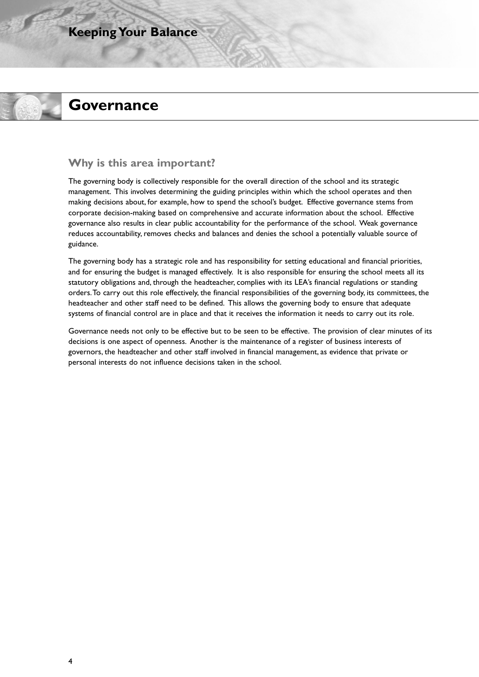### **Governance**

#### **Why is this area important?**

The governing body is collectively responsible for the overall direction of the school and its strategic management. This involves determining the guiding principles within which the school operates and then making decisions about, for example, how to spend the school's budget. Effective governance stems from corporate decision-making based on comprehensive and accurate information about the school. Effective governance also results in clear public accountability for the performance of the school. Weak governance reduces accountability, removes checks and balances and denies the school a potentially valuable source of guidance.

The governing body has a strategic role and has responsibility for setting educational and financial priorities, and for ensuring the budget is managed effectively. It is also responsible for ensuring the school meets all its statutory obligations and, through the headteacher, complies with its LEA's financial regulations or standing orders.To carry out this role effectively, the financial responsibilities of the governing body, its committees, the headteacher and other staff need to be defined. This allows the governing body to ensure that adequate systems of financial control are in place and that it receives the information it needs to carry out its role.

Governance needs not only to be effective but to be seen to be effective. The provision of clear minutes of its decisions is one aspect of openness. Another is the maintenance of a register of business interests of governors, the headteacher and other staff involved in financial management, as evidence that private or personal interests do not influence decisions taken in the school.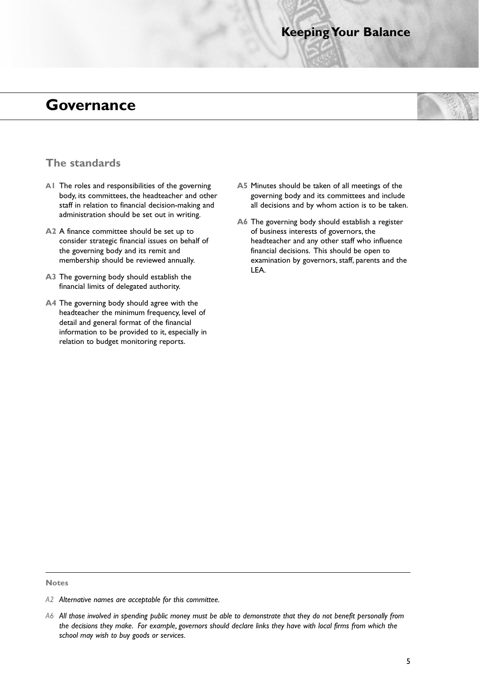### **Governance**



#### **The standards**

- **A1** The roles and responsibilities of the governing body, its committees, the headteacher and other staff in relation to financial decision-making and administration should be set out in writing.
- **A2** A finance committee should be set up to consider strategic financial issues on behalf of the governing body and its remit and membership should be reviewed annually.
- **A3** The governing body should establish the financial limits of delegated authority.
- **A4** The governing body should agree with the headteacher the minimum frequency, level of detail and general format of the financial information to be provided to it, especially in relation to budget monitoring reports.
- **A5** Minutes should be taken of all meetings of the governing body and its committees and include all decisions and by whom action is to be taken.
- **A6** The governing body should establish a register of business interests of governors, the headteacher and any other staff who influence financial decisions. This should be open to examination by governors, staff, parents and the LEA.

**Notes**

*A2 Alternative names are acceptable for this committee.*

*A6 All those involved in spending public money must be able to demonstrate that they do not benefit personally from the decisions they make. For example, governors should declare links they have with local firms from which the school may wish to buy goods or services.*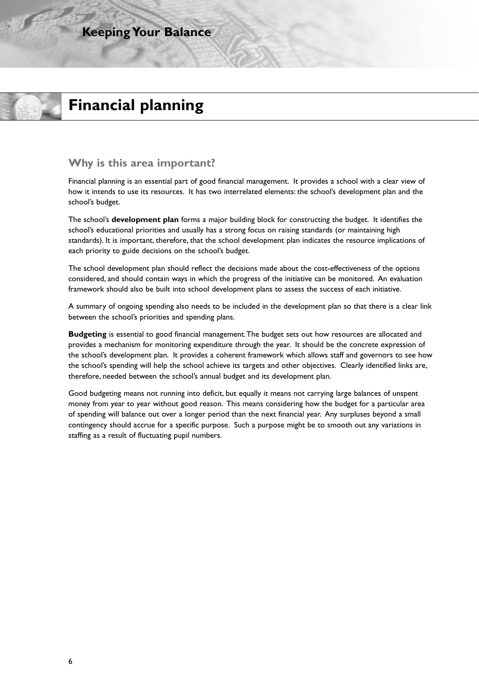

## **Financial planning**

#### **Why is this area important?**

Financial planning is an essential part of good financial management. It provides a school with a clear view of how it intends to use its resources. It has two interrelated elements: the school's development plan and the school's budget.

The school's **development plan** forms a major building block for constructing the budget. It identifies the school's educational priorities and usually has a strong focus on raising standards (or maintaining high standards). It is important, therefore, that the school development plan indicates the resource implications of each priority to guide decisions on the school's budget.

The school development plan should reflect the decisions made about the cost-effectiveness of the options considered, and should contain ways in which the progress of the initiative can be monitored. An evaluation framework should also be built into school development plans to assess the success of each initiative.

A summary of ongoing spending also needs to be included in the development plan so that there is a clear link between the school's priorities and spending plans.

**Budgeting** is essential to good financial management.The budget sets out how resources are allocated and provides a mechanism for monitoring expenditure through the year. It should be the concrete expression of the school's development plan. It provides a coherent framework which allows staff and governors to see how the school's spending will help the school achieve its targets and other objectives. Clearly identified links are, therefore, needed between the school's annual budget and its development plan.

Good budgeting means not running into deficit, but equally it means not carrying large balances of unspent money from year to year without good reason. This means considering how the budget for a particular area of spending will balance out over a longer period than the next financial year. Any surpluses beyond a small contingency should accrue for a specific purpose. Such a purpose might be to smooth out any variations in staffing as a result of fluctuating pupil numbers.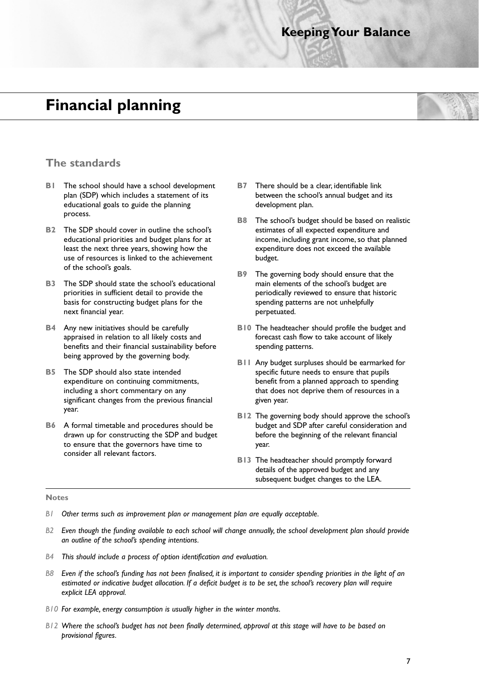## **Financial planning**



#### **The standards**

- **B1** The school should have a school development plan (SDP) which includes a statement of its educational goals to guide the planning process.
- **B2** The SDP should cover in outline the school's educational priorities and budget plans for at least the next three years, showing how the use of resources is linked to the achievement of the school's goals.
- **B3** The SDP should state the school's educational priorities in sufficient detail to provide the basis for constructing budget plans for the next financial year.
- **B4** Any new initiatives should be carefully appraised in relation to all likely costs and benefits and their financial sustainability before being approved by the governing body.
- **B5** The SDP should also state intended expenditure on continuing commitments, including a short commentary on any significant changes from the previous financial year.
- **B6** A formal timetable and procedures should be drawn up for constructing the SDP and budget to ensure that the governors have time to consider all relevant factors.
- **B7** There should be a clear, identifiable link between the school's annual budget and its development plan.
- **B8** The school's budget should be based on realistic estimates of all expected expenditure and income, including grant income, so that planned expenditure does not exceed the available budget.
- **B9** The governing body should ensure that the main elements of the school's budget are periodically reviewed to ensure that historic spending patterns are not unhelpfully perpetuated.
- **B10** The headteacher should profile the budget and forecast cash flow to take account of likely spending patterns.
- **B11** Any budget surpluses should be earmarked for specific future needs to ensure that pupils benefit from a planned approach to spending that does not deprive them of resources in a given year.
- **B12** The governing body should approve the school's budget and SDP after careful consideration and before the beginning of the relevant financial year.
- **B13** The headteacher should promptly forward details of the approved budget and any subsequent budget changes to the LEA.

#### **Notes**

- *B1 Other terms such as improvement plan or management plan are equally acceptable.*
- *B2 Even though the funding available to each school will change annually, the school development plan should provide an outline of the school's spending intentions.*
- *B4 This should include a process of option identification and evaluation.*
- *B8 Even if the school's funding has not been finalised, it is important to consider spending priorities in the light of an estimated or indicative budget allocation. If a deficit budget is to be set, the school's recovery plan will require explicit LEA approval.*
- *B10 For example, energy consumption is usually higher in the winter months.*
- *B12 Where the school's budget has not been finally determined, approval at this stage will have to be based on provisional figures.*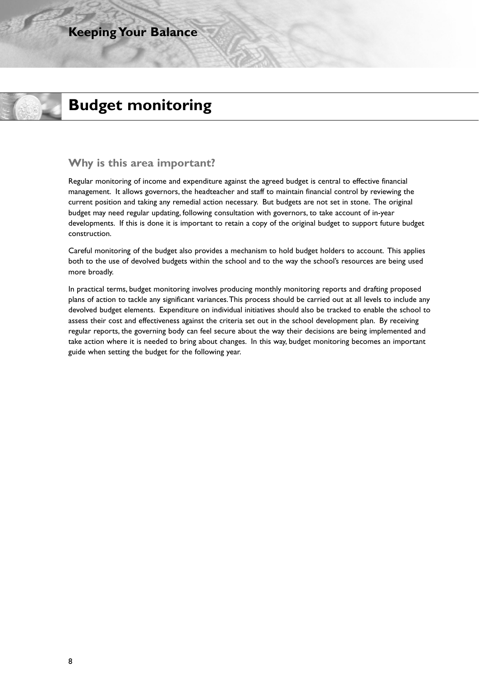

## **Budget monitoring**

#### **Why is this area important?**

Regular monitoring of income and expenditure against the agreed budget is central to effective financial management. It allows governors, the headteacher and staff to maintain financial control by reviewing the current position and taking any remedial action necessary. But budgets are not set in stone. The original budget may need regular updating, following consultation with governors, to take account of in-year developments. If this is done it is important to retain a copy of the original budget to support future budget construction.

Careful monitoring of the budget also provides a mechanism to hold budget holders to account. This applies both to the use of devolved budgets within the school and to the way the school's resources are being used more broadly.

In practical terms, budget monitoring involves producing monthly monitoring reports and drafting proposed plans of action to tackle any significant variances.This process should be carried out at all levels to include any devolved budget elements. Expenditure on individual initiatives should also be tracked to enable the school to assess their cost and effectiveness against the criteria set out in the school development plan. By receiving regular reports, the governing body can feel secure about the way their decisions are being implemented and take action where it is needed to bring about changes. In this way, budget monitoring becomes an important guide when setting the budget for the following year.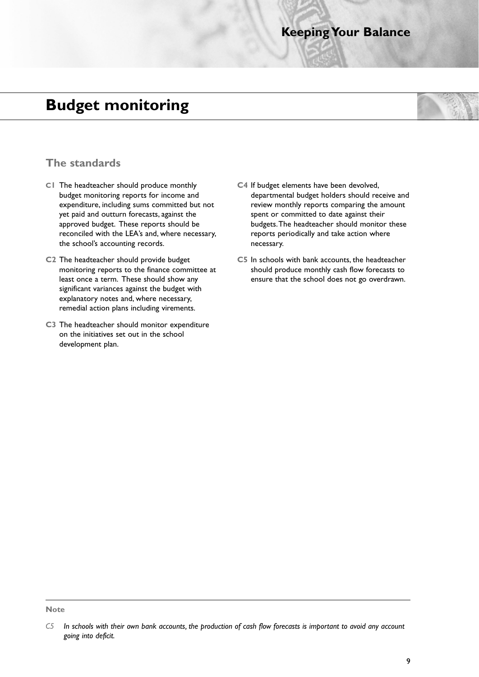## **Budget monitoring**



#### **The standards**

- **C1** The headteacher should produce monthly budget monitoring reports for income and expenditure, including sums committed but not yet paid and outturn forecasts, against the approved budget. These reports should be reconciled with the LEA's and, where necessary, the school's accounting records.
- **C2** The headteacher should provide budget monitoring reports to the finance committee at least once a term. These should show any significant variances against the budget with explanatory notes and, where necessary, remedial action plans including virements.
- **C3** The headteacher should monitor expenditure on the initiatives set out in the school development plan.
- **C4** If budget elements have been devolved, departmental budget holders should receive and review monthly reports comparing the amount spent or committed to date against their budgets.The headteacher should monitor these reports periodically and take action where necessary.
- **C5** In schools with bank accounts, the headteacher should produce monthly cash flow forecasts to ensure that the school does not go overdrawn.

#### **Note**

*C5 In schools with their own bank accounts, the production of cash flow forecasts is important to avoid any account going into deficit.*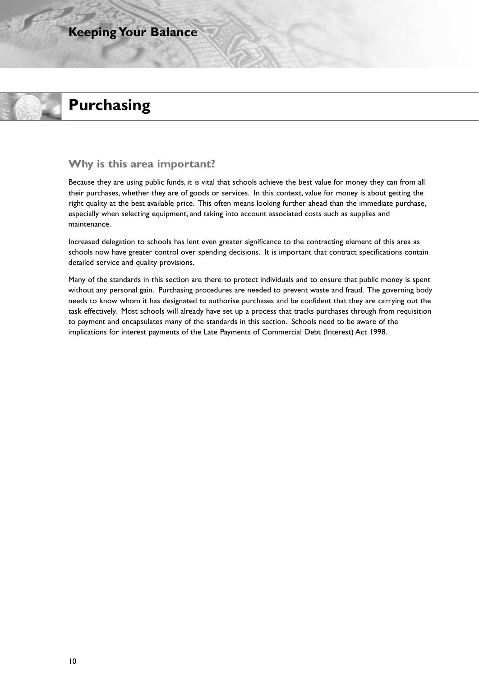## **Purchasing**

#### **Why is this area important?**

Because they are using public funds, it is vital that schools achieve the best value for money they can from all their purchases, whether they are of goods or services. In this context, value for money is about getting the right quality at the best available price. This often means looking further ahead than the immediate purchase, especially when selecting equipment, and taking into account associated costs such as supplies and maintenance.

Increased delegation to schools has lent even greater significance to the contracting element of this area as schools now have greater control over spending decisions. It is important that contract specifications contain detailed service and quality provisions.

Many of the standards in this section are there to protect individuals and to ensure that public money is spent without any personal gain. Purchasing procedures are needed to prevent waste and fraud. The governing body needs to know whom it has designated to authorise purchases and be confident that they are carrying out the task effectively. Most schools will already have set up a process that tracks purchases through from requisition to payment and encapsulates many of the standards in this section. Schools need to be aware of the implications for interest payments of the Late Payments of Commercial Debt (Interest) Act 1998.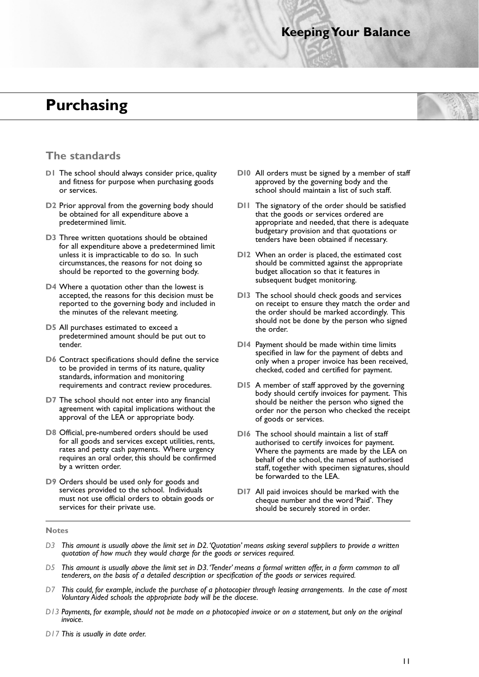## **Purchasing**



#### **The standards**

- **D1** The school should always consider price, quality and fitness for purpose when purchasing goods or services.
- **D2** Prior approval from the governing body should be obtained for all expenditure above a predetermined limit.
- **D3** Three written quotations should be obtained for all expenditure above a predetermined limit unless it is impracticable to do so. In such circumstances, the reasons for not doing so should be reported to the governing body.
- **D4** Where a quotation other than the lowest is accepted, the reasons for this decision must be reported to the governing body and included in the minutes of the relevant meeting.
- **D5** All purchases estimated to exceed a predetermined amount should be put out to tender.
- **D6** Contract specifications should define the service to be provided in terms of its nature, quality standards, information and monitoring requirements and contract review procedures.
- **D7** The school should not enter into any financial agreement with capital implications without the approval of the LEA or appropriate body.
- **D8** Official, pre-numbered orders should be used for all goods and services except utilities, rents, rates and petty cash payments. Where urgency requires an oral order, this should be confirmed by a written order.
- **D9** Orders should be used only for goods and services provided to the school. Individuals must not use official orders to obtain goods or services for their private use.
- **D10** All orders must be signed by a member of staff approved by the governing body and the school should maintain a list of such staff.
- **D11** The signatory of the order should be satisfied that the goods or services ordered are appropriate and needed, that there is adequate budgetary provision and that quotations or tenders have been obtained if necessary.
- **D12** When an order is placed, the estimated cost should be committed against the appropriate budget allocation so that it features in subsequent budget monitoring.
- **D13** The school should check goods and services on receipt to ensure they match the order and the order should be marked accordingly. This should not be done by the person who signed the order.
- **D14** Payment should be made within time limits specified in law for the payment of debts and only when a proper invoice has been received, checked, coded and certified for payment.
- **D15** A member of staff approved by the governing body should certify invoices for payment. This should be neither the person who signed the order nor the person who checked the receipt of goods or services.
- **D16** The school should maintain a list of staff authorised to certify invoices for payment. Where the payments are made by the LEA on behalf of the school, the names of authorised staff, together with specimen signatures, should be forwarded to the LEA.
- **D17** All paid invoices should be marked with the cheque number and the word 'Paid'. They should be securely stored in order.

#### **Notes**

- *D3 This amount is usually above the limit set in D2.'Quotation' means asking several suppliers to provide a written quotation of how much they would charge for the goods or services required.*
- *D5 This amount is usually above the limit set in D3.'Tender' means a formal written offer, in a form common to all tenderers, on the basis of a detailed description or specification of the goods or services required.*
- *D7 This could, for example, include the purchase of a photocopier through leasing arrangements. In the case of most Voluntary Aided schools the appropriate body will be the diocese.*
- *D13 Payments, for example, should not be made on a photocopied invoice or on a statement, but only on the original invoice.*
- *D17 This is usually in date order.*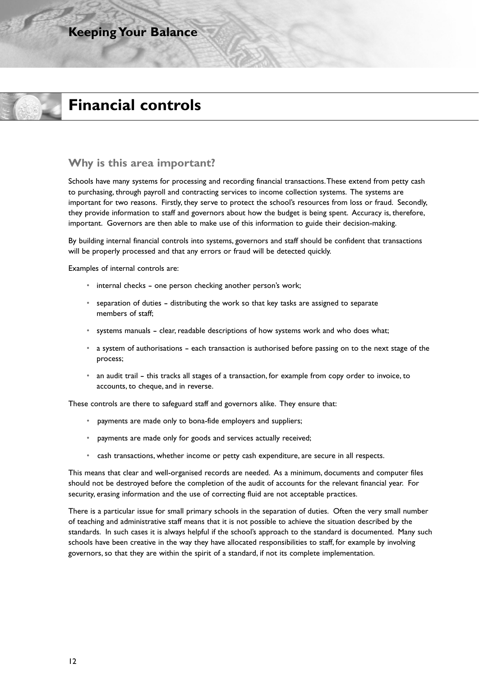

## **Financial controls**

#### **Why is this area important?**

Schools have many systems for processing and recording financial transactions.These extend from petty cash to purchasing, through payroll and contracting services to income collection systems. The systems are important for two reasons. Firstly, they serve to protect the school's resources from loss or fraud. Secondly, they provide information to staff and governors about how the budget is being spent. Accuracy is, therefore, important. Governors are then able to make use of this information to guide their decision-making.

By building internal financial controls into systems, governors and staff should be confident that transactions will be properly processed and that any errors or fraud will be detected quickly.

Examples of internal controls are:

- internal checks one person checking another person's work;
- separation of duties distributing the work so that key tasks are assigned to separate members of staff;
- systems manuals clear, readable descriptions of how systems work and who does what;
- a system of authorisations each transaction is authorised before passing on to the next stage of the process;
- an audit trail this tracks all stages of a transaction, for example from copy order to invoice, to accounts, to cheque, and in reverse.

These controls are there to safeguard staff and governors alike. They ensure that:

- payments are made only to bona-fide employers and suppliers;
- payments are made only for goods and services actually received;
- cash transactions, whether income or petty cash expenditure, are secure in all respects.

This means that clear and well-organised records are needed. As a minimum, documents and computer files should not be destroyed before the completion of the audit of accounts for the relevant financial year. For security, erasing information and the use of correcting fluid are not acceptable practices.

There is a particular issue for small primary schools in the separation of duties. Often the very small number of teaching and administrative staff means that it is not possible to achieve the situation described by the standards. In such cases it is always helpful if the school's approach to the standard is documented. Many such schools have been creative in the way they have allocated responsibilities to staff, for example by involving governors, so that they are within the spirit of a standard, if not its complete implementation.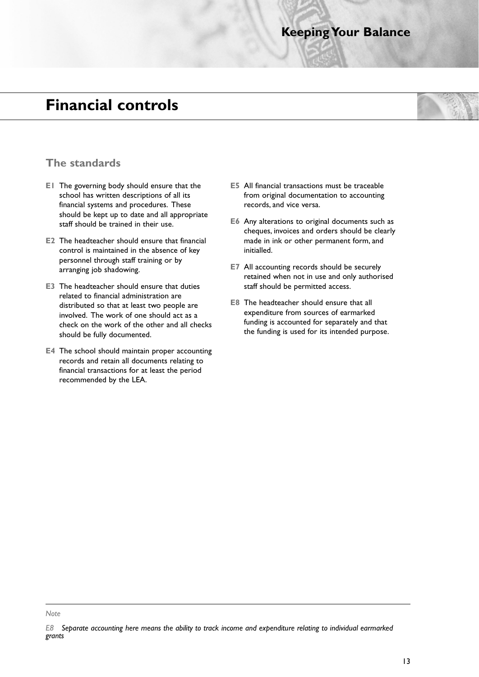## **Financial controls**



- **E1** The governing body should ensure that the school has written descriptions of all its financial systems and procedures. These should be kept up to date and all appropriate staff should be trained in their use.
- **E2** The headteacher should ensure that financial control is maintained in the absence of key personnel through staff training or by arranging job shadowing.
- **E3** The headteacher should ensure that duties related to financial administration are distributed so that at least two people are involved. The work of one should act as a check on the work of the other and all checks should be fully documented.
- **E4** The school should maintain proper accounting records and retain all documents relating to financial transactions for at least the period recommended by the LEA.
- **E5** All financial transactions must be traceable from original documentation to accounting records, and vice versa.
- **E6** Any alterations to original documents such as cheques, invoices and orders should be clearly made in ink or other permanent form, and initialled.
- **E7** All accounting records should be securely retained when not in use and only authorised staff should be permitted access.
- **E8** The headteacher should ensure that all expenditure from sources of earmarked funding is accounted for separately and that the funding is used for its intended purpose.

*Note*

*E8 Separate accounting here means the ability to track income and expenditure relating to individual earmarked grants*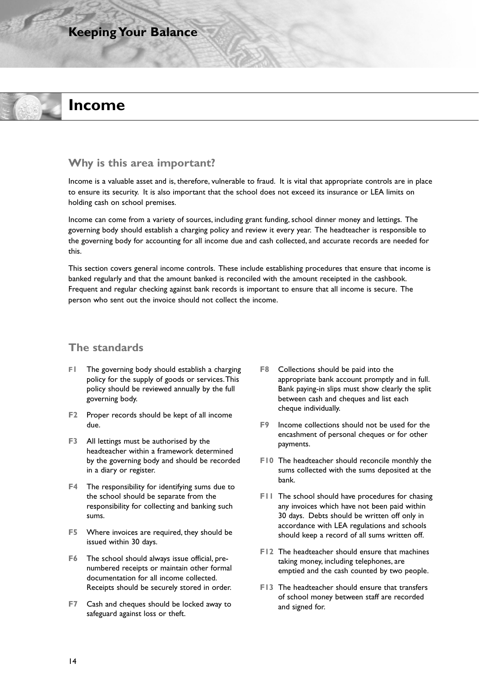### **Income**

#### **Why is this area important?**

Income is a valuable asset and is, therefore, vulnerable to fraud. It is vital that appropriate controls are in place to ensure its security. It is also important that the school does not exceed its insurance or LEA limits on holding cash on school premises.

Income can come from a variety of sources, including grant funding, school dinner money and lettings. The governing body should establish a charging policy and review it every year. The headteacher is responsible to the governing body for accounting for all income due and cash collected, and accurate records are needed for this.

This section covers general income controls. These include establishing procedures that ensure that income is banked regularly and that the amount banked is reconciled with the amount receipted in the cashbook. Frequent and regular checking against bank records is important to ensure that all income is secure. The person who sent out the invoice should not collect the income.

- **F1** The governing body should establish a charging policy for the supply of goods or services.This policy should be reviewed annually by the full governing body.
- **F2** Proper records should be kept of all income due.
- **F3** All lettings must be authorised by the headteacher within a framework determined by the governing body and should be recorded in a diary or register.
- **F4** The responsibility for identifying sums due to the school should be separate from the responsibility for collecting and banking such sums.
- **F5** Where invoices are required, they should be issued within 30 days.
- **F6** The school should always issue official, prenumbered receipts or maintain other formal documentation for all income collected. Receipts should be securely stored in order.
- **F7** Cash and cheques should be locked away to safeguard against loss or theft.
- **F8** Collections should be paid into the appropriate bank account promptly and in full. Bank paying-in slips must show clearly the split between cash and cheques and list each cheque individually.
- **F9** Income collections should not be used for the encashment of personal cheques or for other payments.
- **F10** The headteacher should reconcile monthly the sums collected with the sums deposited at the bank.
- **F11** The school should have procedures for chasing any invoices which have not been paid within 30 days. Debts should be written off only in accordance with LEA regulations and schools should keep a record of all sums written off.
- **F12** The headteacher should ensure that machines taking money, including telephones, are emptied and the cash counted by two people.
- **F13** The headteacher should ensure that transfers of school money between staff are recorded and signed for.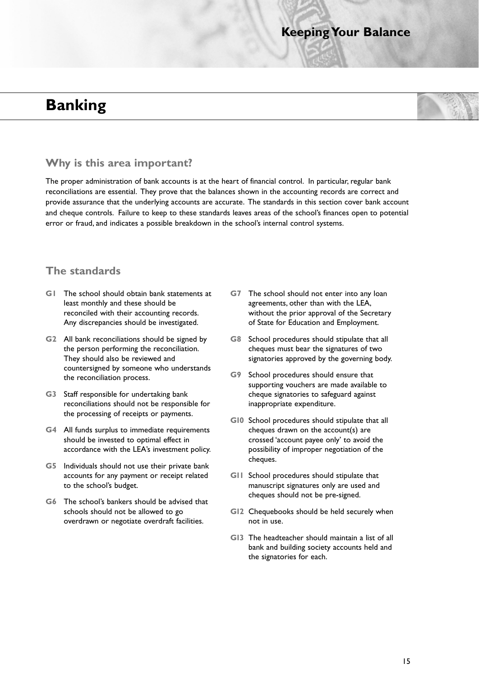## **Banking**



#### **Why is this area important?**

The proper administration of bank accounts is at the heart of financial control. In particular, regular bank reconciliations are essential. They prove that the balances shown in the accounting records are correct and provide assurance that the underlying accounts are accurate. The standards in this section cover bank account and cheque controls. Failure to keep to these standards leaves areas of the school's finances open to potential error or fraud, and indicates a possible breakdown in the school's internal control systems.

- **G1** The school should obtain bank statements at least monthly and these should be reconciled with their accounting records. Any discrepancies should be investigated.
- **G2** All bank reconciliations should be signed by the person performing the reconciliation. They should also be reviewed and countersigned by someone who understands the reconciliation process.
- **G3** Staff responsible for undertaking bank reconciliations should not be responsible for the processing of receipts or payments.
- **G4** All funds surplus to immediate requirements should be invested to optimal effect in accordance with the LEA's investment policy.
- **G5** Individuals should not use their private bank accounts for any payment or receipt related to the school's budget.
- **G6** The school's bankers should be advised that schools should not be allowed to go overdrawn or negotiate overdraft facilities.
- **G7** The school should not enter into any loan agreements, other than with the LEA, without the prior approval of the Secretary of State for Education and Employment.
- **G8** School procedures should stipulate that all cheques must bear the signatures of two signatories approved by the governing body.
- **G9** School procedures should ensure that supporting vouchers are made available to cheque signatories to safeguard against inappropriate expenditure.
- **G10** School procedures should stipulate that all cheques drawn on the account(s) are crossed 'account payee only' to avoid the possibility of improper negotiation of the cheques.
- **G11** School procedures should stipulate that manuscript signatures only are used and cheques should not be pre-signed.
- **G12** Chequebooks should be held securely when not in use.
- **G13** The headteacher should maintain a list of all bank and building society accounts held and the signatories for each.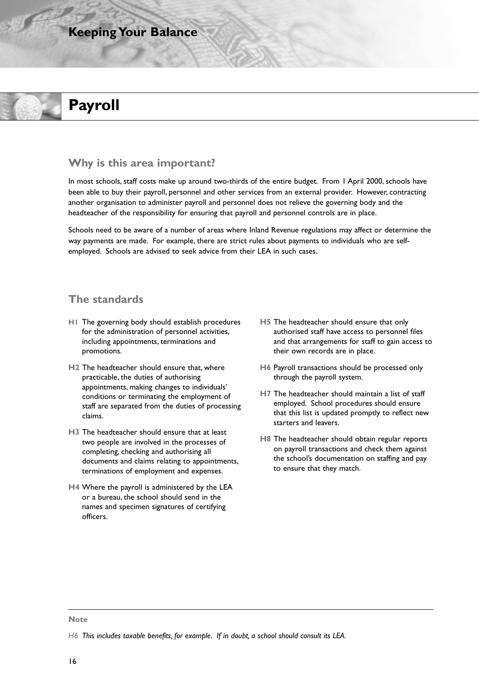## **Payroll**

#### **Why is this area important?**

In most schools, staff costs make up around two-thirds of the entire budget. From 1 April 2000, schools have been able to buy their payroll, personnel and other services from an external provider. However, contracting another organisation to administer payroll and personnel does not relieve the governing body and the headteacher of the responsibility for ensuring that payroll and personnel controls are in place.

Schools need to be aware of a number of areas where Inland Revenue regulations may affect or determine the way payments are made. For example, there are strict rules about payments to individuals who are selfemployed. Schools are advised to seek advice from their LEA in such cases.

#### **The standards**

- **H1** The governing body should establish procedures for the administration of personnel activities, including appointments, terminations and promotions.
- **H2** The headteacher should ensure that, where practicable, the duties of authorising appointments, making changes to individuals' conditions or terminating the employment of staff are separated from the duties of processing claims.
- **H3** The headteacher should ensure that at least two people are involved in the processes of completing, checking and authorising all documents and claims relating to appointments, terminations of employment and expenses.
- **H4** Where the payroll is administered by the LEA or a bureau, the school should send in the names and specimen signatures of certifying officers.
- **H5** The headteacher should ensure that only authorised staff have access to personnel files and that arrangements for staff to gain access to their own records are in place.
- **H6** Payroll transactions should be processed only through the payroll system.
- **H7** The headteacher should maintain a list of staff employed. School procedures should ensure that this list is updated promptly to reflect new starters and leavers.
- **H8** The headteacher should obtain regular reports on payroll transactions and check them against the school's documentation on staffing and pay to ensure that they match.

**Note**

*H6 This includes taxable benefits, for example. If in doubt, a school should consult its LEA.*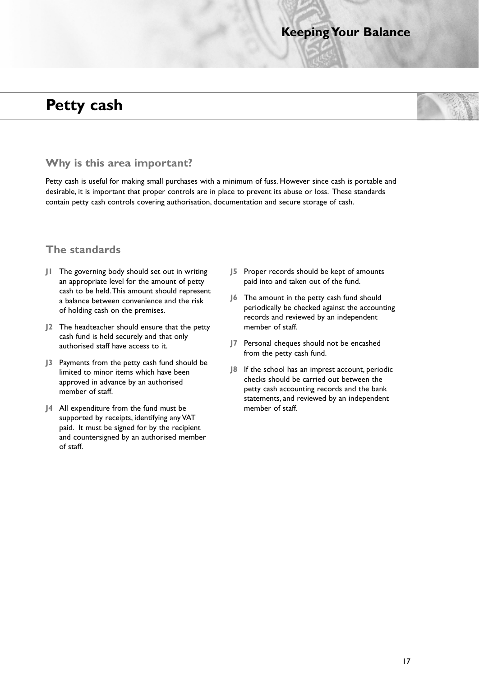## **Petty cash**



#### **Why is this area important?**

Petty cash is useful for making small purchases with a minimum of fuss. However since cash is portable and desirable, it is important that proper controls are in place to prevent its abuse or loss. These standards contain petty cash controls covering authorisation, documentation and secure storage of cash.

- **J1** The governing body should set out in writing an appropriate level for the amount of petty cash to be held.This amount should represent a balance between convenience and the risk of holding cash on the premises.
- **J2** The headteacher should ensure that the petty cash fund is held securely and that only authorised staff have access to it.
- **J3** Payments from the petty cash fund should be limited to minor items which have been approved in advance by an authorised member of staff.
- **J4** All expenditure from the fund must be supported by receipts, identifying any VAT paid. It must be signed for by the recipient and countersigned by an authorised member of staff.
- **J5** Proper records should be kept of amounts paid into and taken out of the fund.
- **J6** The amount in the petty cash fund should periodically be checked against the accounting records and reviewed by an independent member of staff.
- **J7** Personal cheques should not be encashed from the petty cash fund.
- **J8** If the school has an imprest account, periodic checks should be carried out between the petty cash accounting records and the bank statements, and reviewed by an independent member of staff.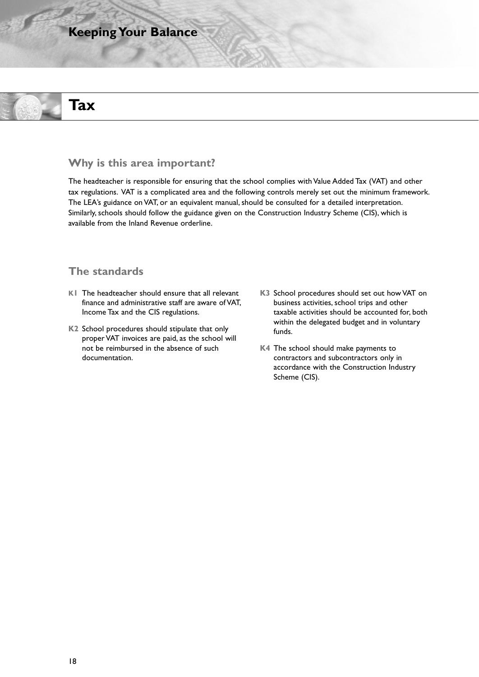## **Tax**

#### **Why is this area important?**

The headteacher is responsible for ensuring that the school complies with Value Added Tax (VAT) and other tax regulations. VAT is a complicated area and the following controls merely set out the minimum framework. The LEA's guidance on VAT, or an equivalent manual, should be consulted for a detailed interpretation. Similarly, schools should follow the guidance given on the Construction Industry Scheme (CIS), which is available from the Inland Revenue orderline.

- **K1** The headteacher should ensure that all relevant finance and administrative staff are aware of VAT, Income Tax and the CIS regulations.
- **K2** School procedures should stipulate that only proper VAT invoices are paid, as the school will not be reimbursed in the absence of such documentation.
- **K3** School procedures should set out how VAT on business activities, school trips and other taxable activities should be accounted for, both within the delegated budget and in voluntary funds.
- **K4** The school should make payments to contractors and subcontractors only in accordance with the Construction Industry Scheme (CIS).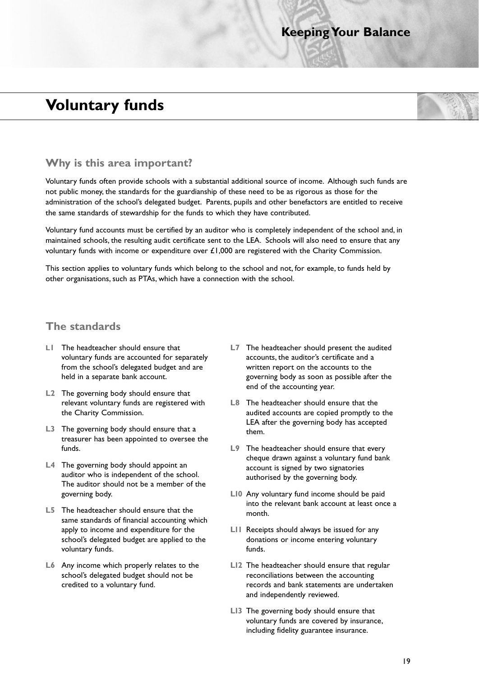## **Voluntary funds**



#### **Why is this area important?**

Voluntary funds often provide schools with a substantial additional source of income. Although such funds are not public money, the standards for the guardianship of these need to be as rigorous as those for the administration of the school's delegated budget. Parents, pupils and other benefactors are entitled to receive the same standards of stewardship for the funds to which they have contributed.

Voluntary fund accounts must be certified by an auditor who is completely independent of the school and, in maintained schools, the resulting audit certificate sent to the LEA. Schools will also need to ensure that any voluntary funds with income or expenditure over £1,000 are registered with the Charity Commission.

This section applies to voluntary funds which belong to the school and not, for example, to funds held by other organisations, such as PTAs, which have a connection with the school.

- **L1** The headteacher should ensure that voluntary funds are accounted for separately from the school's delegated budget and are held in a separate bank account.
- **L2** The governing body should ensure that relevant voluntary funds are registered with the Charity Commission.
- **L3** The governing body should ensure that a treasurer has been appointed to oversee the funds.
- **L4** The governing body should appoint an auditor who is independent of the school. The auditor should not be a member of the governing body.
- **L5** The headteacher should ensure that the same standards of financial accounting which apply to income and expenditure for the school's delegated budget are applied to the voluntary funds.
- **L6** Any income which properly relates to the school's delegated budget should not be credited to a voluntary fund.
- **L7** The headteacher should present the audited accounts, the auditor's certificate and a written report on the accounts to the governing body as soon as possible after the end of the accounting year.
- **L8** The headteacher should ensure that the audited accounts are copied promptly to the LEA after the governing body has accepted them.
- **L9** The headteacher should ensure that every cheque drawn against a voluntary fund bank account is signed by two signatories authorised by the governing body.
- **L10** Any voluntary fund income should be paid into the relevant bank account at least once a month.
- **L11** Receipts should always be issued for any donations or income entering voluntary funds.
- **L12** The headteacher should ensure that regular reconciliations between the accounting records and bank statements are undertaken and independently reviewed.
- **L13** The governing body should ensure that voluntary funds are covered by insurance, including fidelity guarantee insurance.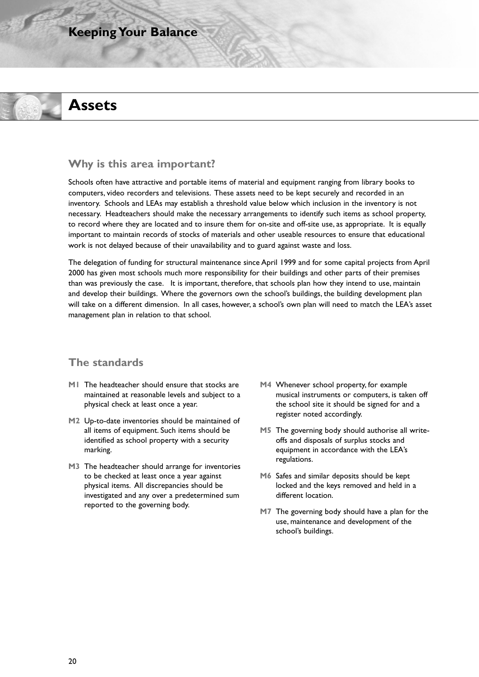## **Assets**

#### **Why is this area important?**

Schools often have attractive and portable items of material and equipment ranging from library books to computers, video recorders and televisions. These assets need to be kept securely and recorded in an inventory. Schools and LEAs may establish a threshold value below which inclusion in the inventory is not necessary. Headteachers should make the necessary arrangements to identify such items as school property, to record where they are located and to insure them for on-site and off-site use, as appropriate. It is equally important to maintain records of stocks of materials and other useable resources to ensure that educational work is not delayed because of their unavailability and to guard against waste and loss.

The delegation of funding for structural maintenance since April 1999 and for some capital projects from April 2000 has given most schools much more responsibility for their buildings and other parts of their premises than was previously the case. It is important, therefore, that schools plan how they intend to use, maintain and develop their buildings. Where the governors own the school's buildings, the building development plan will take on a different dimension. In all cases, however, a school's own plan will need to match the LEA's asset management plan in relation to that school.

## **Assets The standards**

- **M1** The headteacher should ensure that stocks are maintained at reasonable levels and subject to a physical check at least once a year.
- **M2** Up-to-date inventories should be maintained of all items of equipment. Such items should be identified as school property with a security marking.
- **M3** The headteacher should arrange for inventories to be checked at least once a year against physical items. All discrepancies should be investigated and any over a predetermined sum reported to the governing body.
- **M4** Whenever school property, for example musical instruments or computers, is taken off the school site it should be signed for and a register noted accordingly.
- **M5** The governing body should authorise all writeoffs and disposals of surplus stocks and equipment in accordance with the LEA's regulations.
- **M6** Safes and similar deposits should be kept locked and the keys removed and held in a different location.
- **M7** The governing body should have a plan for the use, maintenance and development of the school's buildings.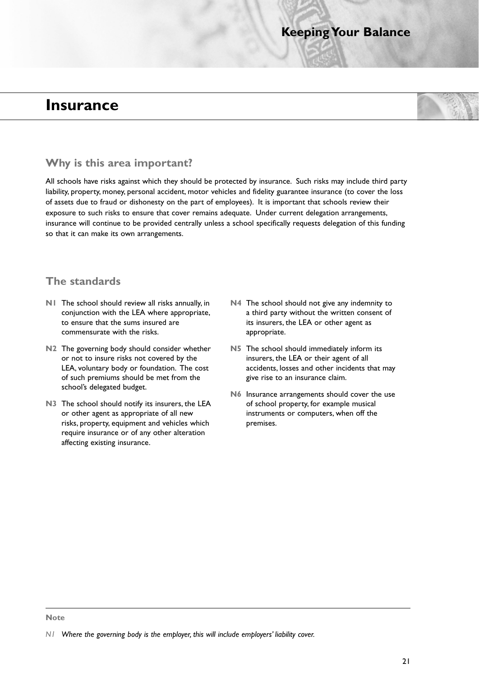#### **Insurance**



#### **Why is this area important?**

All schools have risks against which they should be protected by insurance. Such risks may include third party liability, property, money, personal accident, motor vehicles and fidelity guarantee insurance (to cover the loss of assets due to fraud or dishonesty on the part of employees). It is important that schools review their exposure to such risks to ensure that cover remains adequate. Under current delegation arrangements, insurance will continue to be provided centrally unless a school specifically requests delegation of this funding so that it can make its own arrangements.

#### **The standards**

- **N1** The school should review all risks annually, in conjunction with the LEA where appropriate, to ensure that the sums insured are commensurate with the risks.
- **N2** The governing body should consider whether or not to insure risks not covered by the LEA, voluntary body or foundation. The cost of such premiums should be met from the school's delegated budget.
- **N3** The school should notify its insurers, the LEA or other agent as appropriate of all new risks, property, equipment and vehicles which require insurance or of any other alteration affecting existing insurance.
- **N4** The school should not give any indemnity to a third party without the written consent of its insurers, the LEA or other agent as appropriate.
- **N5** The school should immediately inform its insurers, the LEA or their agent of all accidents, losses and other incidents that may give rise to an insurance claim.
- **N6** Insurance arrangements should cover the use of school property, for example musical instruments or computers, when off the premises.

#### **Note**

*N1 Where the governing body is the employer, this will include employers' liability cover.*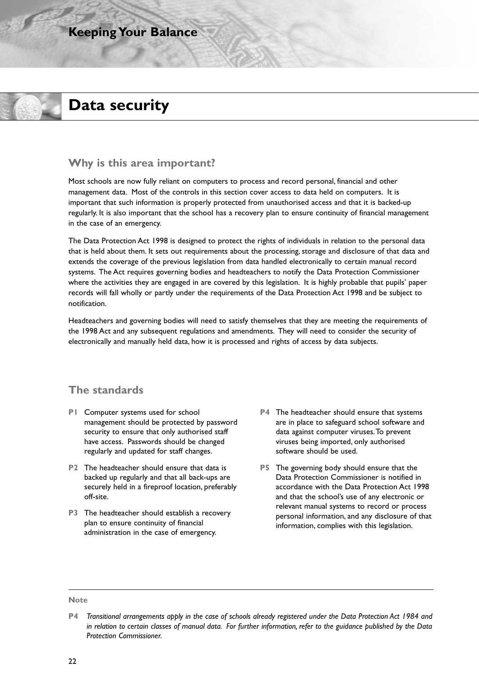

## **Data security**

#### **Why is this area important?**

Most schools are now fully reliant on computers to process and record personal, financial and other management data. Most of the controls in this section cover access to data held on computers. It is important that such information is properly protected from unauthorised access and that it is backed-up regularly. It is also important that the school has a recovery plan to ensure continuity of financial management in the case of an emergency.

The Data Protection Act 1998 is designed to protect the rights of individuals in relation to the personal data that is held about them. It sets out requirements about the processing, storage and disclosure of that data and extends the coverage of the previous legislation from data handled electronically to certain manual record systems. The Act requires governing bodies and headteachers to notify the Data Protection Commissioner where the activities they are engaged in are covered by this legislation. It is highly probable that pupils' paper records will fall wholly or partly under the requirements of the Data Protection Act 1998 and be subject to notification.

Headteachers and governing bodies will need to satisfy themselves that they are meeting the requirements of the 1998 Act and any subsequent regulations and amendments. They will need to consider the security of electronically and manually held data, how it is processed and rights of access by data subjects.

#### **The standards**

- **P1** Computer systems used for school management should be protected by password security to ensure that only authorised staff have access. Passwords should be changed regularly and updated for staff changes.
- **P2** The headteacher should ensure that data is backed up regularly and that all back-ups are securely held in a fireproof location, preferably off-site.
- **P3** The headteacher should establish a recovery plan to ensure continuity of financial administration in the case of emergency.
- **P4** The headteacher should ensure that systems are in place to safeguard school software and data against computer viruses.To prevent viruses being imported, only authorised software should be used.
- **P5** The governing body should ensure that the Data Protection Commissioner is notified in accordance with the Data Protection Act 1998 and that the school's use of any electronic or relevant manual systems to record or process personal information, and any disclosure of that information, complies with this legislation.

#### **Note**

**P4** *Transitional arrangements apply in the case of schools already registered under the Data Protection Act 1984 and in relation to certain classes of manual data. For further information, refer to the guidance published by the Data Protection Commissioner.*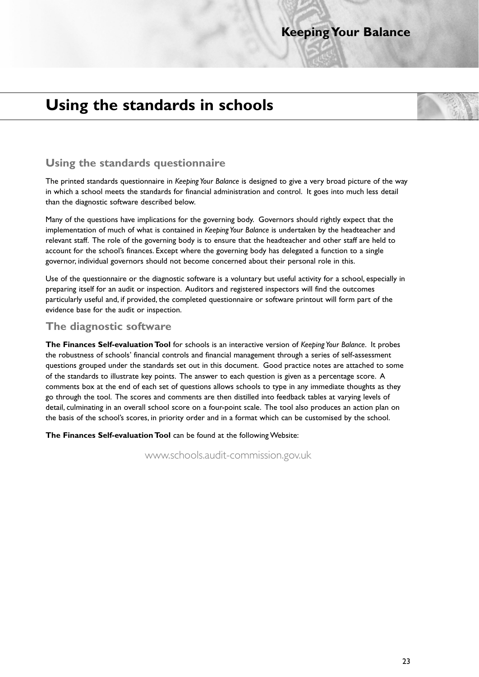## **Using the standards in schools**



#### **Using the standards questionnaire**

The printed standards questionnaire in *Keeping Your Balance* is designed to give a very broad picture of the way in which a school meets the standards for financial administration and control. It goes into much less detail than the diagnostic software described below.

Many of the questions have implications for the governing body. Governors should rightly expect that the implementation of much of what is contained in *Keeping Your Balance* is undertaken by the headteacher and relevant staff. The role of the governing body is to ensure that the headteacher and other staff are held to account for the school's finances. Except where the governing body has delegated a function to a single governor, individual governors should not become concerned about their personal role in this.

Use of the questionnaire or the diagnostic software is a voluntary but useful activity for a school, especially in preparing itself for an audit or inspection. Auditors and registered inspectors will find the outcomes particularly useful and, if provided, the completed questionnaire or software printout will form part of the evidence base for the audit or inspection.

#### **The diagnostic software**

**The Finances Self-evaluation Tool** for schools is an interactive version of *Keeping Your Balance*. It probes the robustness of schools' financial controls and financial management through a series of self-assessment questions grouped under the standards set out in this document. Good practice notes are attached to some of the standards to illustrate key points. The answer to each question is given as a percentage score. A comments box at the end of each set of questions allows schools to type in any immediate thoughts as they go through the tool. The scores and comments are then distilled into feedback tables at varying levels of detail, culminating in an overall school score on a four-point scale. The tool also produces an action plan on the basis of the school's scores, in priority order and in a format which can be customised by the school.

**The Finances Self-evaluation Tool** can be found at the following Website:

www.schools.audit-commission.gov.uk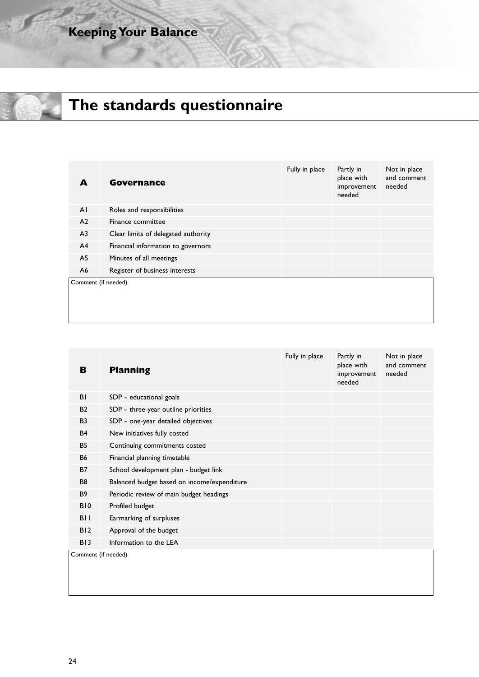|                | Governance                          | Fully in place | Partly in<br>place with<br>improvement<br>needed | Not in place<br>and comment<br>needed |
|----------------|-------------------------------------|----------------|--------------------------------------------------|---------------------------------------|
| AI             | Roles and responsibilities          |                |                                                  |                                       |
| A <sub>2</sub> | Finance committee                   |                |                                                  |                                       |
| A <sub>3</sub> | Clear limits of delegated authority |                |                                                  |                                       |
| A <sup>4</sup> | Financial information to governors  |                |                                                  |                                       |
| A <sub>5</sub> | Minutes of all meetings             |                |                                                  |                                       |
| A6             | Register of business interests      |                |                                                  |                                       |
|                | Comment (if needed)                 |                |                                                  |                                       |

| B              | <b>Planning</b>                             | Fully in place | Partly in<br>place with<br>improvement<br>needed | Not in place<br>and comment<br>needed |
|----------------|---------------------------------------------|----------------|--------------------------------------------------|---------------------------------------|
| <b>BI</b>      | SDP - educational goals                     |                |                                                  |                                       |
| <b>B2</b>      | SDP - three-year outline priorities         |                |                                                  |                                       |
| B <sub>3</sub> | SDP - one-year detailed objectives          |                |                                                  |                                       |
| <b>B4</b>      | New initiatives fully costed                |                |                                                  |                                       |
| <b>B5</b>      | Continuing commitments costed               |                |                                                  |                                       |
| <b>B6</b>      | Financial planning timetable                |                |                                                  |                                       |
| <b>B7</b>      | School development plan - budget link       |                |                                                  |                                       |
| B <sub>8</sub> | Balanced budget based on income/expenditure |                |                                                  |                                       |
| B <sub>9</sub> | Periodic review of main budget headings     |                |                                                  |                                       |
| <b>B10</b>     | Profiled budget                             |                |                                                  |                                       |
| BII            | Earmarking of surpluses                     |                |                                                  |                                       |
| B12            | Approval of the budget                      |                |                                                  |                                       |
| B13            | Information to the LEA                      |                |                                                  |                                       |
|                | Comment (if needed)                         |                |                                                  |                                       |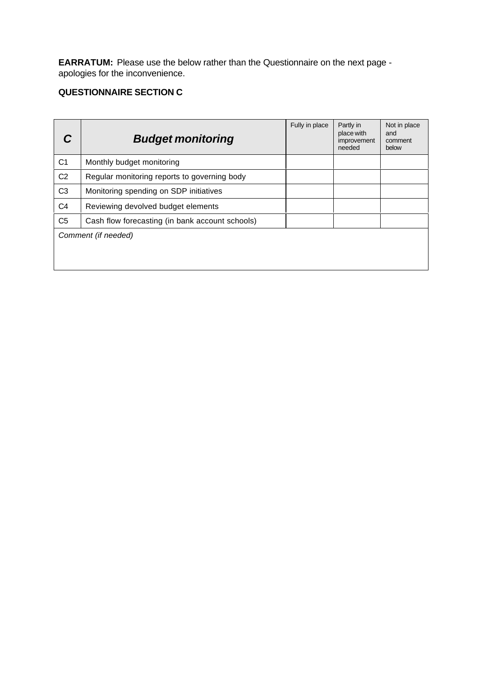**EARRATUM:** Please use the below rather than the Questionnaire on the next page apologies for the inconvenience.

#### **QUESTIONNAIRE SECTION C**

|                | <b>Budget monitoring</b>                        | Fully in place | Partly in<br>place with<br>improvement<br>needed | Not in place<br>and<br>comment<br>below |
|----------------|-------------------------------------------------|----------------|--------------------------------------------------|-----------------------------------------|
| C <sub>1</sub> | Monthly budget monitoring                       |                |                                                  |                                         |
| C <sub>2</sub> | Regular monitoring reports to governing body    |                |                                                  |                                         |
| C <sub>3</sub> | Monitoring spending on SDP initiatives          |                |                                                  |                                         |
| C <sub>4</sub> | Reviewing devolved budget elements              |                |                                                  |                                         |
| C <sub>5</sub> | Cash flow forecasting (in bank account schools) |                |                                                  |                                         |
|                | Comment (if needed)                             |                |                                                  |                                         |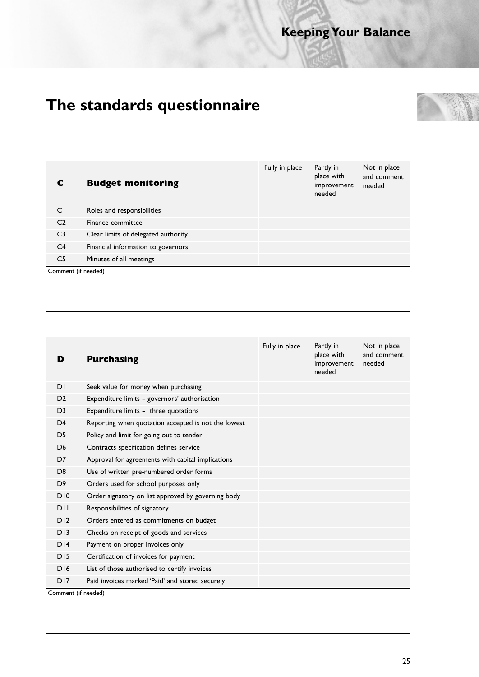

|                | <b>Budget monitoring</b>            | Fully in place | Partly in<br>place with<br>improvement<br>needed | Not in place<br>and comment<br>needed |
|----------------|-------------------------------------|----------------|--------------------------------------------------|---------------------------------------|
| CI             | Roles and responsibilities          |                |                                                  |                                       |
| C <sub>2</sub> | Finance committee                   |                |                                                  |                                       |
| C <sub>3</sub> | Clear limits of delegated authority |                |                                                  |                                       |
| C <sub>4</sub> | Financial information to governors  |                |                                                  |                                       |
| C <sub>5</sub> | Minutes of all meetings             |                |                                                  |                                       |
|                | Comment (if needed)                 |                |                                                  |                                       |
|                |                                     |                |                                                  |                                       |

| D                   | <b>Purchasing</b>                                   | Fully in place | Partly in<br>place with<br>improvement<br>needed | Not in place<br>and comment<br>needed |
|---------------------|-----------------------------------------------------|----------------|--------------------------------------------------|---------------------------------------|
| DI                  | Seek value for money when purchasing                |                |                                                  |                                       |
| D <sub>2</sub>      | Expenditure limits - governors' authorisation       |                |                                                  |                                       |
| D <sub>3</sub>      | Expenditure limits - three quotations               |                |                                                  |                                       |
| D <sub>4</sub>      | Reporting when quotation accepted is not the lowest |                |                                                  |                                       |
| D <sub>5</sub>      | Policy and limit for going out to tender            |                |                                                  |                                       |
| D <sub>6</sub>      | Contracts specification defines service             |                |                                                  |                                       |
| D7                  | Approval for agreements with capital implications   |                |                                                  |                                       |
| D <sub>8</sub>      | Use of written pre-numbered order forms             |                |                                                  |                                       |
| D <sub>9</sub>      | Orders used for school purposes only                |                |                                                  |                                       |
| <b>D10</b>          | Order signatory on list approved by governing body  |                |                                                  |                                       |
| <b>DII</b>          | Responsibilities of signatory                       |                |                                                  |                                       |
| DI2                 | Orders entered as commitments on budget             |                |                                                  |                                       |
| D13                 | Checks on receipt of goods and services             |                |                                                  |                                       |
| DI4                 | Payment on proper invoices only                     |                |                                                  |                                       |
| DI5                 | Certification of invoices for payment               |                |                                                  |                                       |
| D16                 | List of those authorised to certify invoices        |                |                                                  |                                       |
| D <sub>17</sub>     | Paid invoices marked 'Paid' and stored securely     |                |                                                  |                                       |
| Comment (if needed) |                                                     |                |                                                  |                                       |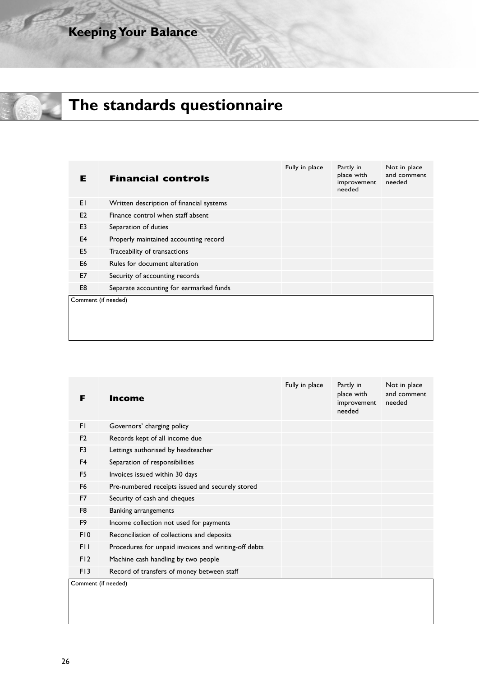| E              | <b>Financial controls</b>                | Fully in place | Partly in<br>place with<br>improvement<br>needed | Not in place<br>and comment<br>needed |
|----------------|------------------------------------------|----------------|--------------------------------------------------|---------------------------------------|
| EI             | Written description of financial systems |                |                                                  |                                       |
| E <sub>2</sub> | Finance control when staff absent        |                |                                                  |                                       |
| E <sub>3</sub> | Separation of duties                     |                |                                                  |                                       |
| E <sub>4</sub> | Properly maintained accounting record    |                |                                                  |                                       |
| E <sub>5</sub> | Traceability of transactions             |                |                                                  |                                       |
| E <sub>6</sub> | Rules for document alteration            |                |                                                  |                                       |
| E7             | Security of accounting records           |                |                                                  |                                       |
| E8             | Separate accounting for earmarked funds  |                |                                                  |                                       |
|                | Comment (if needed)                      |                |                                                  |                                       |

| F               | Income                                               | Fully in place | Partly in<br>place with<br>improvement<br>needed | Not in place<br>and comment<br>needed |
|-----------------|------------------------------------------------------|----------------|--------------------------------------------------|---------------------------------------|
| FI.             | Governors' charging policy                           |                |                                                  |                                       |
| F <sub>2</sub>  | Records kept of all income due                       |                |                                                  |                                       |
| F <sub>3</sub>  | Lettings authorised by headteacher                   |                |                                                  |                                       |
| F <sub>4</sub>  | Separation of responsibilities                       |                |                                                  |                                       |
| F <sub>5</sub>  | Invoices issued within 30 days                       |                |                                                  |                                       |
| F <sub>6</sub>  | Pre-numbered receipts issued and securely stored     |                |                                                  |                                       |
| F7              | Security of cash and cheques                         |                |                                                  |                                       |
| F <sub>8</sub>  | Banking arrangements                                 |                |                                                  |                                       |
| F <sub>9</sub>  | Income collection not used for payments              |                |                                                  |                                       |
| F <sub>10</sub> | Reconciliation of collections and deposits           |                |                                                  |                                       |
| FII.            | Procedures for unpaid invoices and writing-off debts |                |                                                  |                                       |
| F12             | Machine cash handling by two people                  |                |                                                  |                                       |
| F13             | Record of transfers of money between staff           |                |                                                  |                                       |
|                 | Comment (if needed)                                  |                |                                                  |                                       |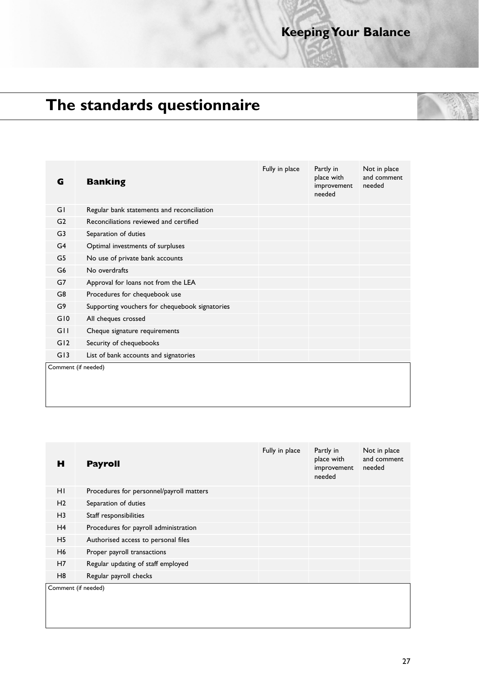

| G                   | <b>Banking</b>                                 | Fully in place | Partly in<br>place with<br>improvement<br>needed | Not in place<br>and comment<br>needed |
|---------------------|------------------------------------------------|----------------|--------------------------------------------------|---------------------------------------|
| GI                  | Regular bank statements and reconciliation     |                |                                                  |                                       |
| G2                  | Reconciliations reviewed and certified         |                |                                                  |                                       |
| G <sub>3</sub>      | Separation of duties                           |                |                                                  |                                       |
| G <sub>4</sub>      | Optimal investments of surpluses               |                |                                                  |                                       |
| G <sub>5</sub>      | No use of private bank accounts                |                |                                                  |                                       |
| G <sub>6</sub>      | No overdrafts                                  |                |                                                  |                                       |
| G7                  | Approval for loans not from the LEA            |                |                                                  |                                       |
| G8                  | Procedures for chequebook use                  |                |                                                  |                                       |
| G9                  | Supporting vouchers for chequebook signatories |                |                                                  |                                       |
| G10                 | All cheques crossed                            |                |                                                  |                                       |
| GII                 | Cheque signature requirements                  |                |                                                  |                                       |
| GI2                 | Security of chequebooks                        |                |                                                  |                                       |
| G13                 | List of bank accounts and signatories          |                |                                                  |                                       |
| Comment (if needed) |                                                |                |                                                  |                                       |

| н                   | <b>Payroll</b>                           | Fully in place | Partly in<br>place with<br>improvement<br>needed | Not in place<br>and comment<br>needed |
|---------------------|------------------------------------------|----------------|--------------------------------------------------|---------------------------------------|
| H1                  | Procedures for personnel/payroll matters |                |                                                  |                                       |
| H <sub>2</sub>      | Separation of duties                     |                |                                                  |                                       |
| H <sub>3</sub>      | Staff responsibilities                   |                |                                                  |                                       |
| H <sub>4</sub>      | Procedures for payroll administration    |                |                                                  |                                       |
| H <sub>5</sub>      | Authorised access to personal files      |                |                                                  |                                       |
| H <sub>6</sub>      | Proper payroll transactions              |                |                                                  |                                       |
| H7                  | Regular updating of staff employed       |                |                                                  |                                       |
| H8                  | Regular payroll checks                   |                |                                                  |                                       |
| Comment (if needed) |                                          |                |                                                  |                                       |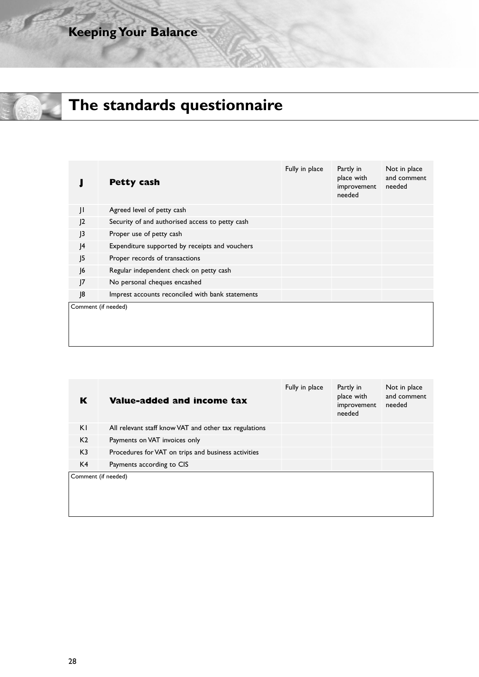|    | <b>Petty cash</b>                                | Fully in place | Partly in<br>place with<br>improvement<br>needed | Not in place<br>and comment<br>needed |
|----|--------------------------------------------------|----------------|--------------------------------------------------|---------------------------------------|
| П  | Agreed level of petty cash                       |                |                                                  |                                       |
| 2  | Security of and authorised access to petty cash  |                |                                                  |                                       |
| J3 | Proper use of petty cash                         |                |                                                  |                                       |
| 4  | Expenditure supported by receipts and vouchers   |                |                                                  |                                       |
| 5  | Proper records of transactions                   |                |                                                  |                                       |
| 6  | Regular independent check on petty cash          |                |                                                  |                                       |
| 7  | No personal cheques encashed                     |                |                                                  |                                       |
| J8 | Imprest accounts reconciled with bank statements |                |                                                  |                                       |
|    | Comment (if needed)                              |                |                                                  |                                       |

| К              | Value-added and income tax                            | Fully in place | Partly in<br>place with<br>improvement<br>needed | Not in place<br>and comment<br>needed |
|----------------|-------------------------------------------------------|----------------|--------------------------------------------------|---------------------------------------|
| K1             | All relevant staff know VAT and other tax regulations |                |                                                  |                                       |
| K <sub>2</sub> | Payments on VAT invoices only                         |                |                                                  |                                       |
| K <sub>3</sub> | Procedures for VAT on trips and business activities   |                |                                                  |                                       |
| K <sub>4</sub> | Payments according to CIS                             |                |                                                  |                                       |
|                | Comment (if needed)                                   |                |                                                  |                                       |
|                |                                                       |                |                                                  |                                       |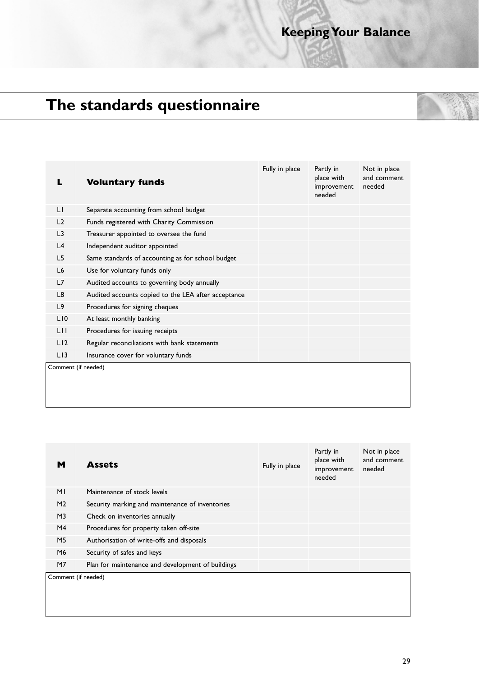

|                 | <b>Voluntary funds</b>                              | Fully in place | Partly in<br>place with<br>improvement<br>needed | Not in place<br>and comment<br>needed |
|-----------------|-----------------------------------------------------|----------------|--------------------------------------------------|---------------------------------------|
| $\mathsf{L}$    | Separate accounting from school budget              |                |                                                  |                                       |
| L <sub>2</sub>  | Funds registered with Charity Commission            |                |                                                  |                                       |
| L <sub>3</sub>  | Treasurer appointed to oversee the fund             |                |                                                  |                                       |
| L <sub>4</sub>  | Independent auditor appointed                       |                |                                                  |                                       |
| L <sub>5</sub>  | Same standards of accounting as for school budget   |                |                                                  |                                       |
| L <sub>6</sub>  | Use for voluntary funds only                        |                |                                                  |                                       |
| L7              | Audited accounts to governing body annually         |                |                                                  |                                       |
| L8              | Audited accounts copied to the LEA after acceptance |                |                                                  |                                       |
| L9              | Procedures for signing cheques                      |                |                                                  |                                       |
| L <sub>10</sub> | At least monthly banking                            |                |                                                  |                                       |
| LH              | Procedures for issuing receipts                     |                |                                                  |                                       |
| LI2             | Regular reconciliations with bank statements        |                |                                                  |                                       |
| L13             | Insurance cover for voluntary funds                 |                |                                                  |                                       |
|                 | Comment (if needed)                                 |                |                                                  |                                       |

| М              | <b>Assets</b>                                     | Fully in place | Partly in<br>place with<br>improvement<br>needed | Not in place<br>and comment<br>needed |
|----------------|---------------------------------------------------|----------------|--------------------------------------------------|---------------------------------------|
| MI             | Maintenance of stock levels                       |                |                                                  |                                       |
| M <sub>2</sub> | Security marking and maintenance of inventories   |                |                                                  |                                       |
| M <sub>3</sub> | Check on inventories annually                     |                |                                                  |                                       |
| M4             | Procedures for property taken off-site            |                |                                                  |                                       |
| M <sub>5</sub> | Authorisation of write-offs and disposals         |                |                                                  |                                       |
| M6             | Security of safes and keys                        |                |                                                  |                                       |
| M <sub>7</sub> | Plan for maintenance and development of buildings |                |                                                  |                                       |
|                | Comment (if needed)                               |                |                                                  |                                       |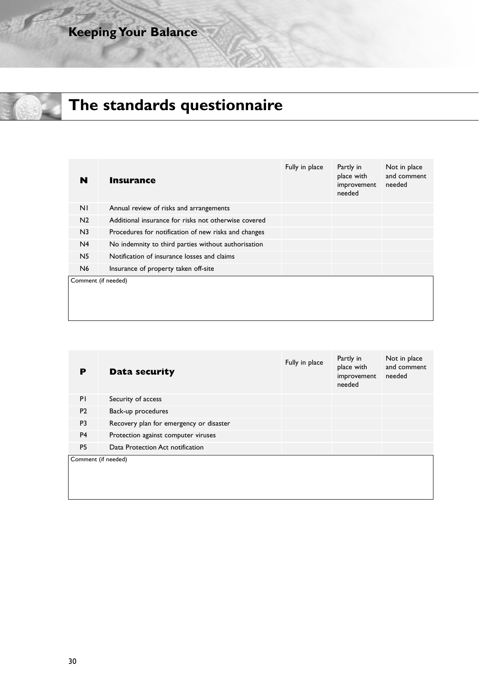| N                   | <b>Insurance</b>                                     | Fully in place | Partly in<br>place with<br>improvement<br>needed | Not in place<br>and comment<br>needed |
|---------------------|------------------------------------------------------|----------------|--------------------------------------------------|---------------------------------------|
| <b>ΝΙ</b>           | Annual review of risks and arrangements              |                |                                                  |                                       |
| N <sub>2</sub>      | Additional insurance for risks not otherwise covered |                |                                                  |                                       |
| N <sub>3</sub>      | Procedures for notification of new risks and changes |                |                                                  |                                       |
| N <sub>4</sub>      | No indemnity to third parties without authorisation  |                |                                                  |                                       |
| N <sub>5</sub>      | Notification of insurance losses and claims          |                |                                                  |                                       |
| N <sub>6</sub>      | Insurance of property taken off-site                 |                |                                                  |                                       |
| Comment (if needed) |                                                      |                |                                                  |                                       |

| P              | Data security                           | Fully in place | Partly in<br>place with<br>improvement<br>needed | Not in place<br>and comment<br>needed |
|----------------|-----------------------------------------|----------------|--------------------------------------------------|---------------------------------------|
| <b>PI</b>      | Security of access                      |                |                                                  |                                       |
| P <sub>2</sub> | Back-up procedures                      |                |                                                  |                                       |
| P <sub>3</sub> | Recovery plan for emergency or disaster |                |                                                  |                                       |
| P <sub>4</sub> | Protection against computer viruses     |                |                                                  |                                       |
| P5             | Data Protection Act notification        |                |                                                  |                                       |
|                | Comment (if needed)                     |                |                                                  |                                       |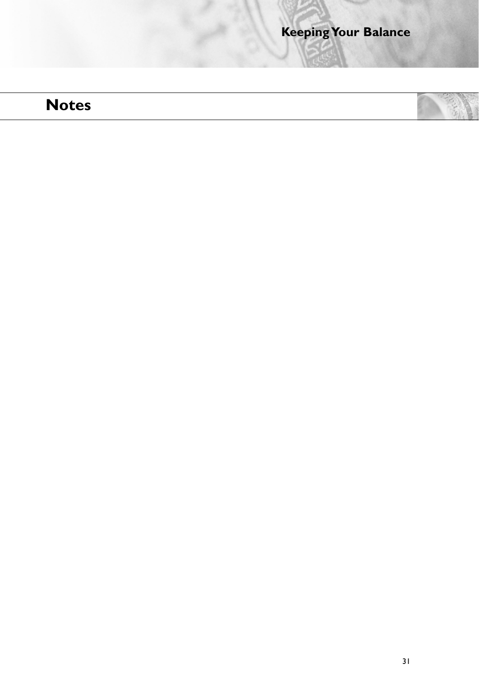